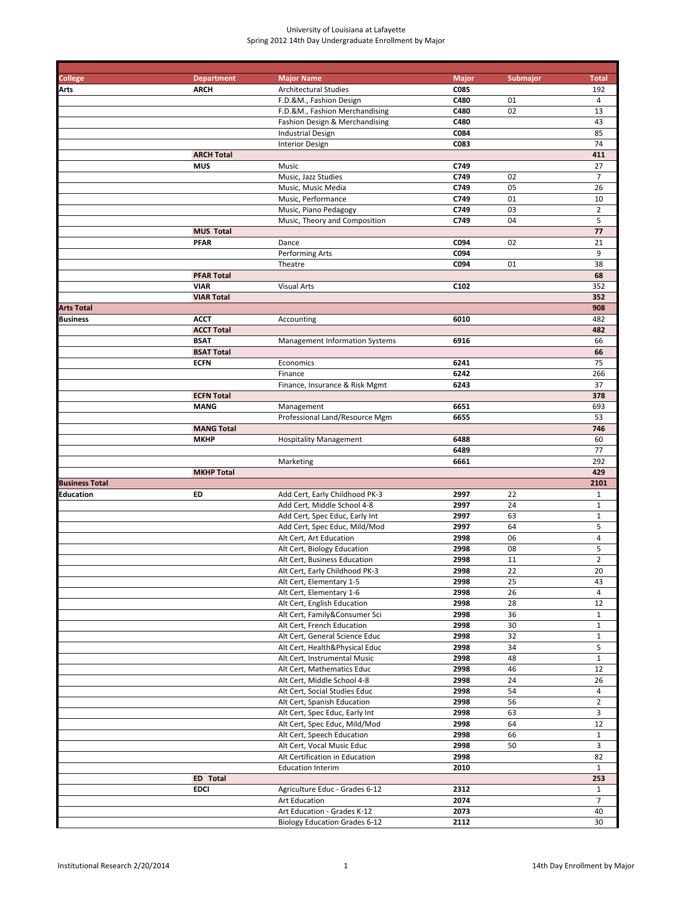| College               | <b>Department</b>                | <b>Major Name</b>                                             | <b>Major</b> | <b>Submajor</b> | <b>Total</b>                 |
|-----------------------|----------------------------------|---------------------------------------------------------------|--------------|-----------------|------------------------------|
| Arts                  | <b>ARCH</b>                      | <b>Architectural Studies</b>                                  | C085         |                 | 192                          |
|                       |                                  | F.D.&M., Fashion Design                                       | C480         | 01              | 4                            |
|                       |                                  | F.D.&M., Fashion Merchandising                                | C480<br>C480 | 02              | 13<br>43                     |
|                       |                                  | Fashion Design & Merchandising                                | C084         |                 | 85                           |
|                       |                                  | <b>Industrial Design</b><br><b>Interior Design</b>            | C083         |                 | 74                           |
|                       | <b>ARCH Total</b>                |                                                               |              |                 | 411                          |
|                       | <b>MUS</b>                       | Music                                                         | C749         |                 | 27                           |
|                       |                                  | Music, Jazz Studies                                           | C749         | 02              | $\overline{7}$               |
|                       |                                  | Music, Music Media                                            | C749         | 05              | 26                           |
|                       |                                  | Music, Performance                                            | C749         | 01              | 10                           |
|                       |                                  | Music, Piano Pedagogy                                         | C749         | 03              | $\overline{2}$               |
|                       |                                  | Music, Theory and Composition                                 | C749         | 04              | 5                            |
|                       | <b>MUS Total</b>                 |                                                               |              |                 | 77                           |
|                       | <b>PFAR</b>                      | Dance                                                         | C094         | 02              | 21                           |
|                       |                                  | Performing Arts                                               | C094         |                 | 9                            |
|                       |                                  | Theatre                                                       | C094         | 01              | 38                           |
|                       | <b>PFAR Total</b>                |                                                               |              |                 | 68                           |
|                       | <b>VIAR</b>                      | <b>Visual Arts</b>                                            | C102         |                 | 352                          |
|                       | <b>VIAR Total</b>                |                                                               |              |                 | 352                          |
| <b>Arts Total</b>     |                                  |                                                               |              |                 | 908                          |
| Business              | <b>ACCT</b><br><b>ACCT Total</b> | Accounting                                                    | 6010         |                 | 482<br>482                   |
|                       | <b>BSAT</b>                      | Management Information Systems                                | 6916         |                 | 66                           |
|                       | <b>BSAT Total</b>                |                                                               |              |                 | 66                           |
|                       | <b>ECFN</b>                      | Economics                                                     | 6241         |                 | 75                           |
|                       |                                  | Finance                                                       | 6242         |                 | 266                          |
|                       |                                  | Finance, Insurance & Risk Mgmt                                | 6243         |                 | 37                           |
|                       | <b>ECFN Total</b>                |                                                               |              |                 | 378                          |
|                       | <b>MANG</b>                      | Management                                                    | 6651         |                 | 693                          |
|                       |                                  | Professional Land/Resource Mgm                                | 6655         |                 | 53                           |
|                       | <b>MANG Total</b>                |                                                               |              |                 | 746                          |
|                       | <b>MKHP</b>                      | <b>Hospitality Management</b>                                 | 6488         |                 | 60                           |
|                       |                                  |                                                               | 6489         |                 | 77                           |
|                       |                                  | Marketing                                                     | 6661         |                 | 292                          |
|                       | <b>MKHP Total</b>                |                                                               |              |                 | 429                          |
| <b>Business Total</b> |                                  |                                                               |              |                 | 2101                         |
| Education             | ED                               | Add Cert, Early Childhood PK-3<br>Add Cert, Middle School 4-8 | 2997<br>2997 | 22<br>24        | $\mathbf{1}$<br>$\mathbf{1}$ |
|                       |                                  | Add Cert, Spec Educ, Early Int                                | 2997         | 63              | $\mathbf 1$                  |
|                       |                                  | Add Cert, Spec Educ, Mild/Mod                                 | 2997         | 64              | 5                            |
|                       |                                  | Alt Cert, Art Education                                       | 2998         | 06              | $\overline{\mathbf{4}}$      |
|                       |                                  | Alt Cert, Biology Education                                   | 2998         | 08              | 5                            |
|                       |                                  | Alt Cert, Business Education                                  | 2998         | 11              | $\overline{2}$               |
|                       |                                  | Alt Cert. Early Childhood PK-3                                | 2998         | $\overline{22}$ | 20                           |
|                       |                                  | Alt Cert, Elementary 1-5                                      | 2998         | 25              | 43                           |
|                       |                                  | Alt Cert, Elementary 1-6                                      | 2998         | 26              | $\overline{4}$               |
|                       |                                  | Alt Cert, English Education                                   | 2998         | 28              | 12                           |
|                       |                                  | Alt Cert, Family&Consumer Sci                                 | 2998         | 36              | $\mathbf{1}$                 |
|                       |                                  | Alt Cert, French Education                                    | 2998         | 30              | $\mathbf{1}$                 |
|                       |                                  | Alt Cert, General Science Educ                                | 2998         | 32              | $\mathbf{1}$                 |
|                       |                                  | Alt Cert, Health&Physical Educ                                | 2998         | 34              | 5                            |
|                       |                                  | Alt Cert, Instrumental Music                                  | 2998         | 48              | $\mathbf{1}$                 |
|                       |                                  | Alt Cert, Mathematics Educ<br>Alt Cert, Middle School 4-8     | 2998<br>2998 | 46<br>24        | 12<br>26                     |
|                       |                                  | Alt Cert, Social Studies Educ                                 | 2998         | 54              | 4                            |
|                       |                                  | Alt Cert, Spanish Education                                   | 2998         | 56              | $\overline{2}$               |
|                       |                                  | Alt Cert, Spec Educ, Early Int                                | 2998         | 63              | 3                            |
|                       |                                  | Alt Cert, Spec Educ, Mild/Mod                                 | 2998         | 64              | 12                           |
|                       |                                  | Alt Cert, Speech Education                                    | 2998         | 66              | $\mathbf{1}$                 |
|                       |                                  | Alt Cert, Vocal Music Educ                                    | 2998         | 50              | 3                            |
|                       |                                  | Alt Certification in Education                                | 2998         |                 | 82                           |
|                       |                                  | <b>Education Interim</b>                                      | 2010         |                 | $\mathbf{1}$                 |
|                       | ED Total                         |                                                               |              |                 | 253                          |
|                       | <b>EDCI</b>                      | Agriculture Educ - Grades 6-12                                | 2312         |                 | $\mathbf{1}$                 |
|                       |                                  | Art Education                                                 | 2074         |                 | $\overline{7}$               |
|                       |                                  | Art Education - Grades K-12                                   | 2073         |                 | 40                           |
|                       |                                  | <b>Biology Education Grades 6-12</b>                          | 2112         |                 | 30                           |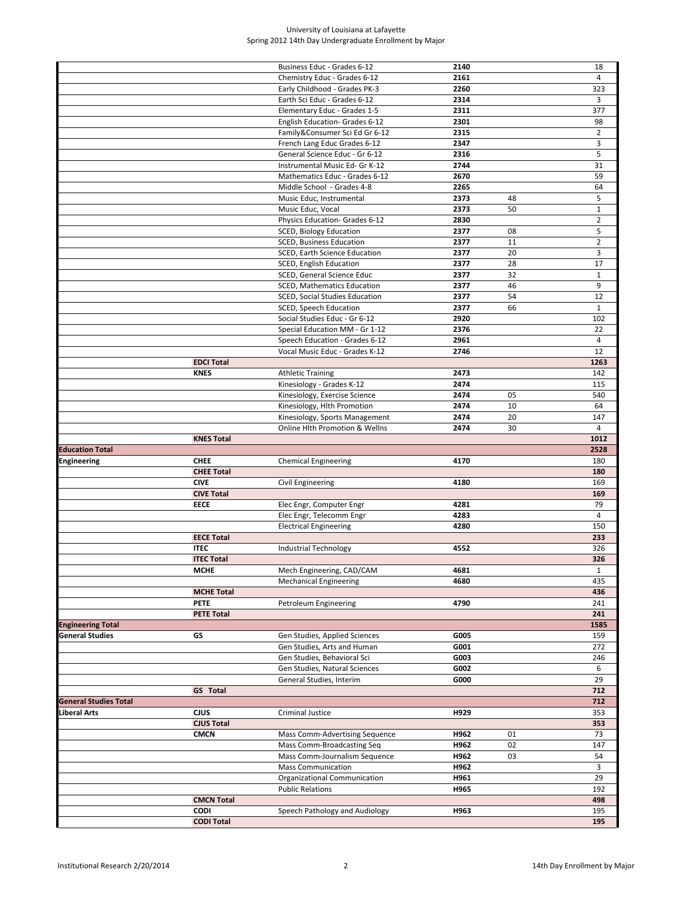|                              |                   | Business Educ - Grades 6-12    | 2140 |    | 18             |
|------------------------------|-------------------|--------------------------------|------|----|----------------|
|                              |                   | Chemistry Educ - Grades 6-12   | 2161 |    | $\overline{4}$ |
|                              |                   | Early Childhood - Grades PK-3  | 2260 |    | 323            |
|                              |                   | Earth Sci Educ - Grades 6-12   | 2314 |    | 3              |
|                              |                   |                                |      |    | 377            |
|                              |                   | Elementary Educ - Grades 1-5   | 2311 |    |                |
|                              |                   | English Education- Grades 6-12 | 2301 |    | 98             |
|                              |                   | Family&Consumer Sci Ed Gr 6-12 | 2315 |    | $\overline{2}$ |
|                              |                   | French Lang Educ Grades 6-12   | 2347 |    | 3              |
|                              |                   | General Science Educ - Gr 6-12 | 2316 |    | 5              |
|                              |                   |                                |      |    |                |
|                              |                   | Instrumental Music Ed- Gr K-12 | 2744 |    | 31             |
|                              |                   | Mathematics Educ - Grades 6-12 | 2670 |    | 59             |
|                              |                   | Middle School - Grades 4-8     | 2265 |    | 64             |
|                              |                   | Music Educ, Instrumental       | 2373 | 48 | 5              |
|                              |                   |                                |      | 50 |                |
|                              |                   | Music Educ, Vocal              | 2373 |    | $\mathbf{1}$   |
|                              |                   | Physics Education- Grades 6-12 | 2830 |    | $\overline{2}$ |
|                              |                   | SCED, Biology Education        | 2377 | 08 | 5              |
|                              |                   | SCED, Business Education       | 2377 | 11 | $\overline{2}$ |
|                              |                   | SCED, Earth Science Education  | 2377 | 20 | 3              |
|                              |                   |                                |      |    |                |
|                              |                   | SCED, English Education        | 2377 | 28 | 17             |
|                              |                   | SCED, General Science Educ     | 2377 | 32 | $\mathbf{1}$   |
|                              |                   | SCED, Mathematics Education    | 2377 | 46 | 9              |
|                              |                   | SCED, Social Studies Education | 2377 | 54 | 12             |
|                              |                   |                                | 2377 | 66 | $\mathbf{1}$   |
|                              |                   | SCED, Speech Education         |      |    |                |
|                              |                   | Social Studies Educ - Gr 6-12  | 2920 |    | 102            |
|                              |                   | Special Education MM - Gr 1-12 | 2376 |    | 22             |
|                              |                   | Speech Education - Grades 6-12 | 2961 |    | $\overline{4}$ |
|                              |                   | Vocal Music Educ - Grades K-12 | 2746 |    | 12             |
|                              |                   |                                |      |    |                |
|                              | <b>EDCI Total</b> |                                |      |    | 1263           |
|                              | <b>KNES</b>       | <b>Athletic Training</b>       | 2473 |    | 142            |
|                              |                   | Kinesiology - Grades K-12      | 2474 |    | 115            |
|                              |                   | Kinesiology, Exercise Science  | 2474 | 05 | 540            |
|                              |                   | Kinesiology, Hlth Promotion    | 2474 | 10 | 64             |
|                              |                   |                                |      |    |                |
|                              |                   | Kinesiology, Sports Management | 2474 | 20 | 147            |
|                              |                   | Online Hlth Promotion & Wellns | 2474 | 30 | $\overline{4}$ |
|                              | <b>KNES Total</b> |                                |      |    | 1012           |
| <b>Education Total</b>       |                   |                                |      |    | 2528           |
| Engineering                  | <b>CHEE</b>       |                                | 4170 |    | 180            |
|                              |                   | <b>Chemical Engineering</b>    |      |    |                |
|                              | <b>CHEE Total</b> |                                |      |    | 180            |
|                              | <b>CIVE</b>       | Civil Engineering              | 4180 |    | 169            |
|                              | <b>CIVE Total</b> |                                |      |    | 169            |
|                              | <b>EECE</b>       | Elec Engr, Computer Engr       | 4281 |    | 79             |
|                              |                   | Elec Engr, Telecomm Engr       | 4283 |    | 4              |
|                              |                   |                                |      |    |                |
|                              |                   | <b>Electrical Engineering</b>  | 4280 |    | 150            |
|                              | <b>EECE Total</b> |                                |      |    | 233            |
|                              | <b>ITEC</b>       | <b>Industrial Technology</b>   | 4552 |    | 326            |
|                              | <b>ITEC Total</b> |                                |      |    | 326            |
|                              |                   |                                |      |    |                |
|                              | <b>MCHE</b>       | Mech Engineering, CAD/CAM      | 4681 |    | $\mathbf{1}$   |
|                              |                   | <b>Mechanical Engineering</b>  | 4680 |    | 435            |
|                              | <b>MCHE Total</b> |                                |      |    | 436            |
|                              | <b>PETE</b>       | Petroleum Engineering          | 4790 |    | 241            |
|                              | <b>PETE Total</b> |                                |      |    | 241            |
|                              |                   |                                |      |    |                |
| <b>Engineering Total</b>     |                   |                                |      |    | 1585           |
| <b>General Studies</b>       | GS                | Gen Studies, Applied Sciences  | G005 |    | 159            |
|                              |                   | Gen Studies, Arts and Human    | G001 |    | 272            |
|                              |                   | Gen Studies, Behavioral Sci    | G003 |    | 246            |
|                              |                   | Gen Studies, Natural Sciences  | G002 |    | 6              |
|                              |                   |                                |      |    |                |
|                              |                   | General Studies, Interim       | G000 |    | 29             |
|                              | <b>GS</b> Total   |                                |      |    | 712            |
| <b>General Studies Total</b> |                   |                                |      |    | 712            |
| Liberal Arts                 | <b>CJUS</b>       | Criminal Justice               | H929 |    | 353            |
|                              | <b>CJUS Total</b> |                                |      |    |                |
|                              |                   |                                |      |    | 353            |
|                              | <b>CMCN</b>       | Mass Comm-Advertising Sequence | H962 | 01 | 73             |
|                              |                   | Mass Comm-Broadcasting Seq     | H962 | 02 | 147            |
|                              |                   | Mass Comm-Journalism Sequence  | H962 | 03 | 54             |
|                              |                   | <b>Mass Communication</b>      | H962 |    | 3              |
|                              |                   |                                |      |    |                |
|                              |                   | Organizational Communication   | H961 |    | 29             |
|                              |                   |                                |      |    |                |
|                              |                   | <b>Public Relations</b>        | H965 |    | 192            |
|                              | <b>CMCN Total</b> |                                |      |    | 498            |
|                              | <b>CODI</b>       |                                | H963 |    | 195            |
|                              | <b>CODI Total</b> | Speech Pathology and Audiology |      |    | 195            |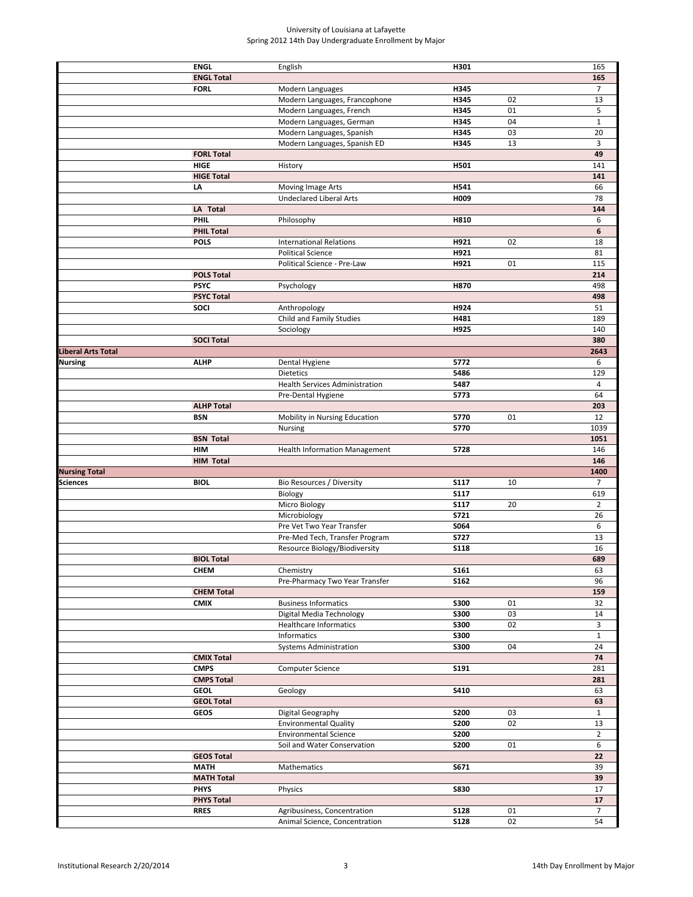|                      | <b>ENGL</b>       | English                               | H301        |    | 165            |
|----------------------|-------------------|---------------------------------------|-------------|----|----------------|
|                      | <b>ENGL Total</b> |                                       |             |    | 165            |
|                      |                   |                                       |             |    |                |
|                      | <b>FORL</b>       | Modern Languages                      | H345        |    | 7              |
|                      |                   | Modern Languages, Francophone         | H345        | 02 | 13             |
|                      |                   | Modern Languages, French              | H345        | 01 | 5              |
|                      |                   | Modern Languages, German              | H345        | 04 | $\mathbf{1}$   |
|                      |                   |                                       |             | 03 |                |
|                      |                   | Modern Languages, Spanish             | H345        |    | 20             |
|                      |                   | Modern Languages, Spanish ED          | H345        | 13 | 3              |
|                      | <b>FORL Total</b> |                                       |             |    | 49             |
|                      | <b>HIGE</b>       | History                               | H501        |    | 141            |
|                      | <b>HIGE Total</b> |                                       |             |    | 141            |
|                      |                   |                                       |             |    |                |
|                      | LA                | Moving Image Arts                     | H541        |    | 66             |
|                      |                   | <b>Undeclared Liberal Arts</b>        | H009        |    | 78             |
|                      | LA Total          |                                       |             |    | 144            |
|                      | PHIL              | Philosophy                            | H810        |    | 6              |
|                      |                   |                                       |             |    | 6              |
|                      | <b>PHIL Total</b> |                                       |             |    |                |
|                      | <b>POLS</b>       | <b>International Relations</b>        | H921        | 02 | 18             |
|                      |                   | <b>Political Science</b>              | H921        |    | 81             |
|                      |                   | Political Science - Pre-Law           | H921        | 01 | 115            |
|                      | <b>POLS Total</b> |                                       |             |    | 214            |
|                      | <b>PSYC</b>       |                                       |             |    |                |
|                      |                   | Psychology                            | H870        |    | 498            |
|                      | <b>PSYC Total</b> |                                       |             |    | 498            |
|                      | SOCI              | Anthropology                          | H924        |    | 51             |
|                      |                   | Child and Family Studies              | H481        |    | 189            |
|                      |                   | Sociology                             | H925        |    | 140            |
|                      |                   |                                       |             |    |                |
|                      | <b>SOCI Total</b> |                                       |             |    | 380            |
| Liberal Arts Total   |                   |                                       |             |    | 2643           |
| Nursing              | <b>ALHP</b>       | Dental Hygiene                        | 5772        |    | 6              |
|                      |                   | <b>Dietetics</b>                      | 5486        |    | 129            |
|                      |                   | <b>Health Services Administration</b> | 5487        |    | 4              |
|                      |                   |                                       |             |    |                |
|                      |                   | Pre-Dental Hygiene                    | 5773        |    | 64             |
|                      | <b>ALHP Total</b> |                                       |             |    | 203            |
|                      | <b>BSN</b>        | Mobility in Nursing Education         | 5770        | 01 | 12             |
|                      |                   | Nursing                               | 5770        |    | 1039           |
|                      |                   |                                       |             |    | 1051           |
|                      | <b>BSN Total</b>  |                                       |             |    |                |
|                      | <b>HIM</b>        | <b>Health Information Management</b>  | 5728        |    | 146            |
|                      | <b>HIM Total</b>  |                                       |             |    | 146            |
| <b>Nursing Total</b> |                   |                                       |             |    | 1400           |
| Sciences             | <b>BIOL</b>       | Bio Resources / Diversity             | <b>S117</b> | 10 | $\overline{7}$ |
|                      |                   |                                       |             |    |                |
|                      |                   | Biology                               | <b>S117</b> |    | 619            |
|                      |                   | Micro Biology                         | <b>S117</b> | 20 | $\overline{2}$ |
|                      |                   | Microbiology                          | S721        |    | 26             |
|                      |                   | Pre Vet Two Year Transfer             | S064        |    | 6              |
|                      |                   | Pre-Med Tech, Transfer Program        |             |    |                |
|                      |                   |                                       | <b>S727</b> |    | 13             |
|                      |                   | Resource Biology/Biodiversity         | <b>S118</b> |    | 16             |
|                      | <b>BIOL Total</b> |                                       |             |    | 689            |
|                      | CHEM              | Chemistry                             | <b>S161</b> |    | 63             |
|                      |                   | Pre-Pharmacy Two Year Transfer        | <b>S162</b> |    | 96             |
|                      |                   |                                       |             |    |                |
|                      | <b>CHEM Total</b> |                                       |             |    | 159            |
|                      | <b>CMIX</b>       | <b>Business Informatics</b>           | <b>S300</b> | 01 | 32             |
|                      |                   | Digital Media Technology              | <b>S300</b> | 03 | 14             |
|                      |                   | <b>Healthcare Informatics</b>         | <b>S300</b> | 02 | 3              |
|                      |                   | Informatics                           | <b>S300</b> |    | $\mathbf{1}$   |
|                      |                   |                                       |             |    |                |
|                      |                   | <b>Systems Administration</b>         | <b>S300</b> | 04 | 24             |
|                      | <b>CMIX Total</b> |                                       |             |    | 74             |
|                      | <b>CMPS</b>       | Computer Science                      | S191        |    | 281            |
|                      | <b>CMPS Total</b> |                                       |             |    | 281            |
|                      | <b>GEOL</b>       | Geology                               | S410        |    | 63             |
|                      |                   |                                       |             |    |                |
|                      | <b>GEOL Total</b> |                                       |             |    | 63             |
|                      | <b>GEOS</b>       | Digital Geography                     | <b>S200</b> | 03 | $\mathbf{1}$   |
|                      |                   | <b>Environmental Quality</b>          | <b>S200</b> | 02 | 13             |
|                      |                   | <b>Environmental Science</b>          | <b>S200</b> |    | $\overline{2}$ |
|                      |                   |                                       |             |    |                |
|                      |                   | Soil and Water Conservation           | <b>S200</b> | 01 | 6              |
|                      | <b>GEOS Total</b> |                                       |             |    | 22             |
|                      |                   |                                       |             |    |                |
|                      | <b>MATH</b>       | Mathematics                           | S671        |    | 39             |
|                      |                   |                                       |             |    |                |
|                      | <b>MATH Total</b> |                                       |             |    | 39             |
|                      | <b>PHYS</b>       | Physics                               | <b>S830</b> |    | 17             |
|                      | <b>PHYS Total</b> |                                       |             |    | 17             |
|                      | <b>RRES</b>       | Agribusiness, Concentration           | <b>S128</b> | 01 | $\overline{7}$ |
|                      |                   | Animal Science, Concentration         | <b>S128</b> | 02 | 54             |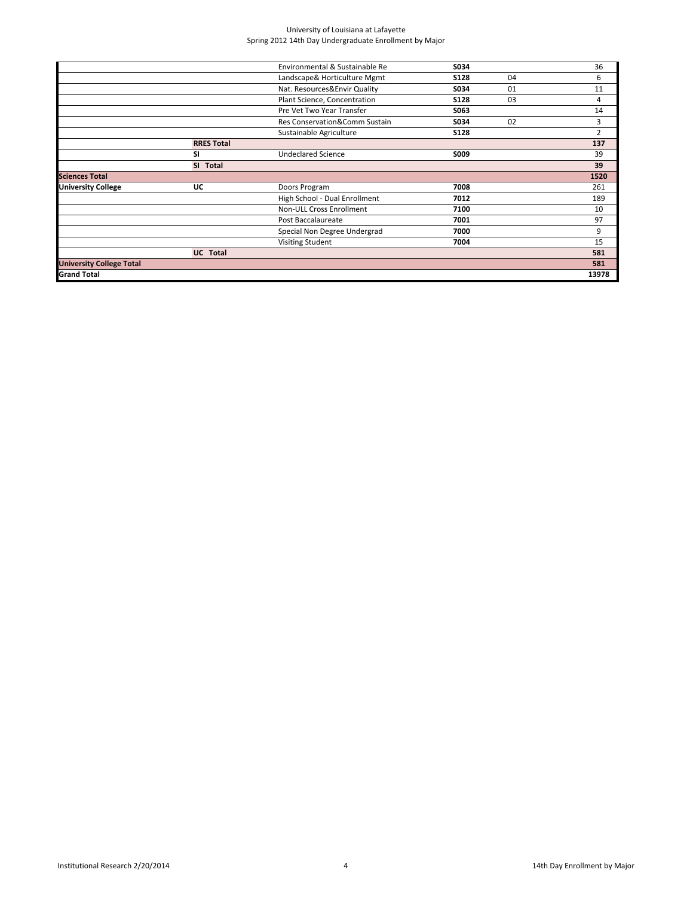|                                 |                   | Environmental & Sustainable Re | S034        |    | 36             |
|---------------------------------|-------------------|--------------------------------|-------------|----|----------------|
|                                 |                   | Landscape& Horticulture Mgmt   | <b>S128</b> | 04 | 6              |
|                                 |                   | Nat. Resources&Envir Quality   | S034        | 01 | 11             |
|                                 |                   | Plant Science, Concentration   | <b>S128</b> | 03 | 4              |
|                                 |                   | Pre Vet Two Year Transfer      | S063        |    | 14             |
|                                 |                   | Res Conservation&Comm Sustain  | S034        | 02 | 3              |
|                                 |                   | Sustainable Agriculture        | <b>S128</b> |    | $\overline{2}$ |
|                                 | <b>RRES Total</b> |                                |             |    | 137            |
|                                 | <b>SI</b>         | <b>Undeclared Science</b>      | S009        |    | 39             |
|                                 | SI Total          |                                |             |    | 39             |
| <b>Sciences Total</b>           |                   |                                |             |    | 1520           |
| <b>University College</b>       | UC                | Doors Program                  | 7008        |    | 261            |
|                                 |                   | High School - Dual Enrollment  | 7012        |    | 189            |
|                                 |                   | Non-ULL Cross Enrollment       | 7100        |    | 10             |
|                                 |                   | Post Baccalaureate             | 7001        |    | 97             |
|                                 |                   | Special Non Degree Undergrad   | 7000        |    | 9              |
|                                 |                   | <b>Visiting Student</b>        | 7004        |    | 15             |
|                                 | <b>UC</b> Total   |                                |             |    | 581            |
| <b>University College Total</b> |                   |                                |             |    | 581            |
| <b>Grand Total</b>              |                   |                                |             |    | 13978          |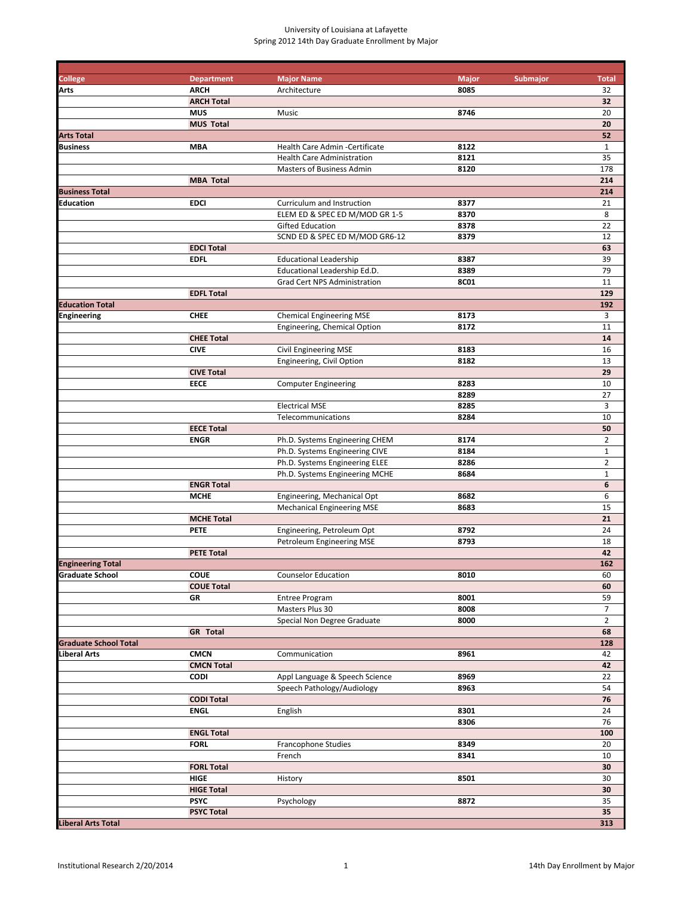| College                      | <b>Department</b> | <b>Major Name</b>                 | <b>Major</b><br>Submajor | <b>Total</b>   |
|------------------------------|-------------------|-----------------------------------|--------------------------|----------------|
| Arts                         | <b>ARCH</b>       | Architecture                      | 8085                     | 32             |
|                              | <b>ARCH Total</b> |                                   |                          | 32             |
|                              | <b>MUS</b>        | Music                             | 8746                     | 20             |
|                              | <b>MUS Total</b>  |                                   |                          | 20             |
| <b>Arts Total</b>            |                   |                                   |                          | 52             |
| Business                     | <b>MBA</b>        | Health Care Admin - Certificate   | 8122                     | $\mathbf{1}$   |
|                              |                   | <b>Health Care Administration</b> | 8121                     | 35             |
|                              |                   | Masters of Business Admin         | 8120                     | 178            |
|                              | <b>MBA Total</b>  |                                   |                          | 214            |
| <b>Business Total</b>        |                   |                                   |                          | 214            |
| Education                    | <b>EDCI</b>       | Curriculum and Instruction        | 8377                     | 21             |
|                              |                   | ELEM ED & SPEC ED M/MOD GR 1-5    | 8370                     | 8              |
|                              |                   | <b>Gifted Education</b>           | 8378                     | 22             |
|                              |                   | SCND ED & SPEC ED M/MOD GR6-12    | 8379                     | 12             |
|                              | <b>EDCI Total</b> |                                   |                          | 63             |
|                              | <b>EDFL</b>       | <b>Educational Leadership</b>     | 8387                     | 39             |
|                              |                   | Educational Leadership Ed.D.      | 8389                     | 79             |
|                              |                   | Grad Cert NPS Administration      | <b>8C01</b>              | 11             |
|                              |                   |                                   |                          |                |
|                              | <b>EDFL Total</b> |                                   |                          | 129            |
| <b>Education Total</b>       |                   |                                   |                          | 192            |
| <b>Engineering</b>           | <b>CHEE</b>       | <b>Chemical Engineering MSE</b>   | 8173                     | 3              |
|                              |                   | Engineering, Chemical Option      | 8172                     | 11             |
|                              | <b>CHEE Total</b> |                                   |                          | 14             |
|                              | <b>CIVE</b>       | <b>Civil Engineering MSE</b>      | 8183                     | 16             |
|                              |                   | Engineering, Civil Option         | 8182                     | 13             |
|                              | <b>CIVE Total</b> |                                   |                          | 29             |
|                              | <b>EECE</b>       | <b>Computer Engineering</b>       | 8283                     | 10             |
|                              |                   |                                   | 8289                     | 27             |
|                              |                   | <b>Electrical MSE</b>             | 8285                     | 3              |
|                              |                   | Telecommunications                | 8284                     | 10             |
|                              | <b>EECE Total</b> |                                   |                          | 50             |
|                              | <b>ENGR</b>       | Ph.D. Systems Engineering CHEM    | 8174                     | $\overline{2}$ |
|                              |                   | Ph.D. Systems Engineering CIVE    | 8184                     | $\mathbf 1$    |
|                              |                   | Ph.D. Systems Engineering ELEE    | 8286                     | $\mathbf 2$    |
|                              |                   | Ph.D. Systems Engineering MCHE    | 8684                     | $\mathbf{1}$   |
|                              | <b>ENGR Total</b> |                                   |                          | 6              |
|                              | <b>MCHE</b>       | Engineering, Mechanical Opt       | 8682                     | 6              |
|                              |                   | <b>Mechanical Engineering MSE</b> | 8683                     | 15             |
|                              | <b>MCHE Total</b> |                                   |                          | 21             |
|                              |                   |                                   |                          |                |
|                              | <b>PETE</b>       | Engineering, Petroleum Opt        | 8792                     | 24             |
|                              |                   | Petroleum Engineering MSE         | 8793                     | 18             |
|                              | <b>PETE Total</b> |                                   |                          | 42             |
| <b>Engineering Total</b>     |                   |                                   |                          | 162            |
| Graduate School              | <b>COUE</b>       | <b>Counselor Education</b>        | 8010                     | 60             |
|                              | <b>COUE Total</b> |                                   |                          | 60             |
|                              | GR                | <b>Entree Program</b>             | 8001                     | 59             |
|                              |                   | Masters Plus 30                   | 8008                     | $\overline{7}$ |
|                              |                   | Special Non Degree Graduate       | 8000                     | $\overline{2}$ |
|                              | <b>GR</b> Total   |                                   |                          | 68             |
| <b>Graduate School Total</b> |                   |                                   |                          | 128            |
| Liberal Arts                 | <b>CMCN</b>       | Communication                     | 8961                     | 42             |
|                              | <b>CMCN Total</b> |                                   |                          | 42             |
|                              | <b>CODI</b>       | Appl Language & Speech Science    | 8969                     | 22             |
|                              |                   | Speech Pathology/Audiology        | 8963                     | 54             |
|                              | <b>CODI Total</b> |                                   |                          | 76             |
|                              | <b>ENGL</b>       | English                           | 8301                     | 24             |
|                              |                   |                                   | 8306                     | 76             |
|                              | <b>ENGL Total</b> |                                   |                          | 100            |
|                              | <b>FORL</b>       | Francophone Studies               | 8349                     | 20             |
|                              |                   | French                            | 8341                     | 10             |
|                              | <b>FORL Total</b> |                                   |                          | 30             |
|                              | HIGE              | History                           | 8501                     | 30             |
|                              |                   |                                   |                          |                |
|                              | <b>HIGE Total</b> |                                   |                          | 30             |
|                              | <b>PSYC</b>       | Psychology                        | 8872                     | 35             |
|                              | <b>PSYC Total</b> |                                   |                          | 35             |
| <b>Liberal Arts Total</b>    |                   |                                   |                          | 313            |